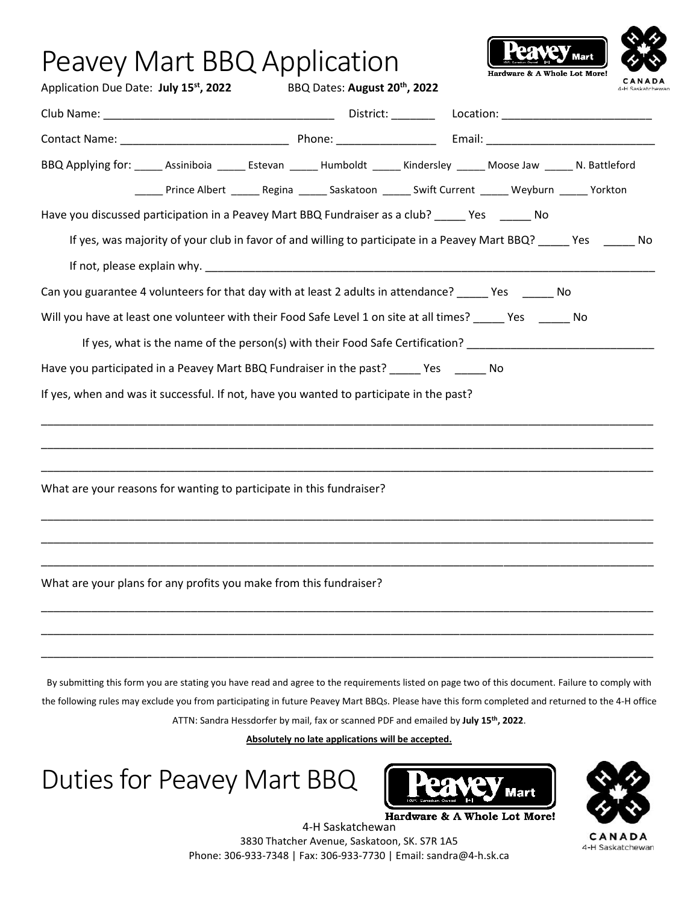| Peavey Mart BBQ Application<br>Application Due Date: July 15 <sup>st</sup> , 2022                                                                                                                                                                                                                    |  | BBQ Dates: August 20 <sup>th</sup> , 2022                                                                                                |  | Hardware & A Whole Lot More! |  |
|------------------------------------------------------------------------------------------------------------------------------------------------------------------------------------------------------------------------------------------------------------------------------------------------------|--|------------------------------------------------------------------------------------------------------------------------------------------|--|------------------------------|--|
|                                                                                                                                                                                                                                                                                                      |  |                                                                                                                                          |  |                              |  |
|                                                                                                                                                                                                                                                                                                      |  |                                                                                                                                          |  |                              |  |
| BBQ Applying for: _____ Assiniboia ______ Estevan ______ Humboldt ______ Kindersley ______ Moose Jaw ______ N. Battleford                                                                                                                                                                            |  | ______ Prince Albert _______ Regina _______ Saskatoon _______ Swift Current ______ Weyburn ______ Yorkton                                |  |                              |  |
| Have you discussed participation in a Peavey Mart BBQ Fundraiser as a club? _____ Yes ______ No                                                                                                                                                                                                      |  |                                                                                                                                          |  |                              |  |
| If yes, was majority of your club in favor of and willing to participate in a Peavey Mart BBQ? _____ Yes _______ No                                                                                                                                                                                  |  |                                                                                                                                          |  |                              |  |
| If not, please explain why. The contract of the contract of the contract of the contract of the contract of the contract of the contract of the contract of the contract of the contract of the contract of the contract of th                                                                       |  |                                                                                                                                          |  |                              |  |
| Can you guarantee 4 volunteers for that day with at least 2 adults in attendance? _____ Yes _____ No                                                                                                                                                                                                 |  |                                                                                                                                          |  |                              |  |
| Will you have at least one volunteer with their Food Safe Level 1 on site at all times? _____ Yes ______ No                                                                                                                                                                                          |  |                                                                                                                                          |  |                              |  |
|                                                                                                                                                                                                                                                                                                      |  | If yes, what is the name of the person(s) with their Food Safe Certification? ________________________________                           |  |                              |  |
| Have you participated in a Peavey Mart BBQ Fundraiser in the past? _____ Yes _____ No                                                                                                                                                                                                                |  |                                                                                                                                          |  |                              |  |
| If yes, when and was it successful. If not, have you wanted to participate in the past?                                                                                                                                                                                                              |  |                                                                                                                                          |  |                              |  |
| What are your reasons for wanting to participate in this fundraiser?                                                                                                                                                                                                                                 |  |                                                                                                                                          |  |                              |  |
| What are your plans for any profits you make from this fundraiser?                                                                                                                                                                                                                                   |  |                                                                                                                                          |  |                              |  |
| By submitting this form you are stating you have read and agree to the requirements listed on page two of this document. Failure to comply with<br>the following rules may exclude you from participating in future Peavey Mart BBQs. Please have this form completed and returned to the 4-H office |  | ATTN: Sandra Hessdorfer by mail, fax or scanned PDF and emailed by July 15th, 2022.<br>Absolutely no late applications will be accepted. |  |                              |  |

Duties for Peavey Mart BBQ





wan

CANADA 4-H Saskatchewan

4-H Saskatchewan 3830 Thatcher Avenue, Saskatoon, SK. S7R 1A5 Phone: 306-933-7348 | Fax: 306-933-7730 | Email: sandra@4-h.sk.ca